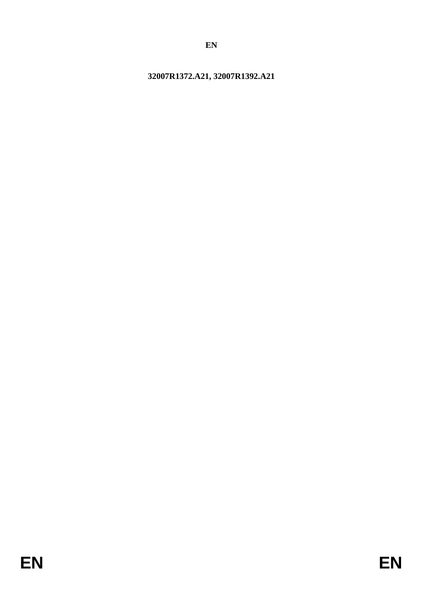# <span id="page-0-0"></span>**32007R1372.A21, 32007R1392.A21**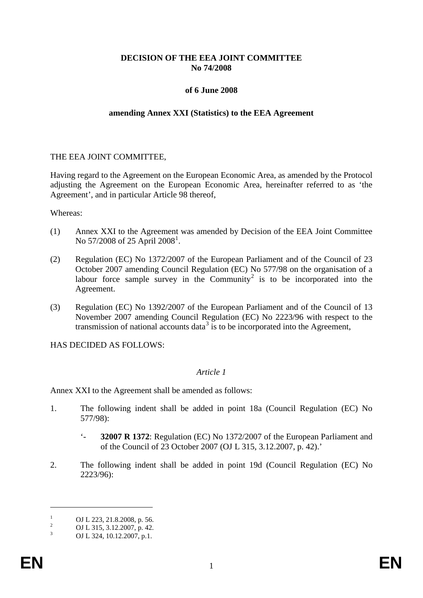# **DECISION OF THE EEA JOINT COMMITTEE No 74/2008**

#### **of 6 June 2008**

#### **amending Annex XXI (Statistics) to the EEA Agreement**

#### THE EEA JOINT COMMITTEE,

Having regard to the Agreement on the European Economic Area, as amended by the Protocol adjusting the Agreement on the European Economic Area, hereinafter referred to as 'the Agreement', and in particular Article 98 thereof,

Whereas:

- (1) Annex XXI to the Agreement was amended by Decision of the EEA Joint Committee No 57/2008 of 25 April 2008<sup>[1](#page-0-0)</sup>.
- (2) Regulation (EC) No 1372/2007 of the European Parliament and of the Council of 23 October 2007 amending Council Regulation (EC) No 577/98 on the organisation of a labour force sample survey in the Community<sup>[2](#page-1-0)</sup> is to be incorporated into the Agreement.
- (3) Regulation (EC) No 1392/2007 of the European Parliament and of the Council of 13 November 2007 amending Council Regulation (EC) No 2223/96 with respect to the transmission of national accounts data<sup>[3](#page-1-1)</sup> is to be incorporated into the Agreement,

HAS DECIDED AS FOLLOWS:

#### *Article 1*

Annex XXI to the Agreement shall be amended as follows:

- 1. The following indent shall be added in point 18a (Council Regulation (EC) No 577/98):
	- '- **32007 R 1372**: Regulation (EC) No 1372/2007 of the European Parliament and of the Council of 23 October 2007 (OJ L 315, 3.12.2007, p. 42).'
- 2. The following indent shall be added in point 19d (Council Regulation (EC) No 2223/96):

 $\overline{a}$ 

<span id="page-1-1"></span><span id="page-1-0"></span><sup>1</sup> OJ L 223, 21.8.2008, p. 56.<br>
2 OJ L 315, 3.12.2007, p. 42.<br>
OJ L 324, 10.12.2007, p.1.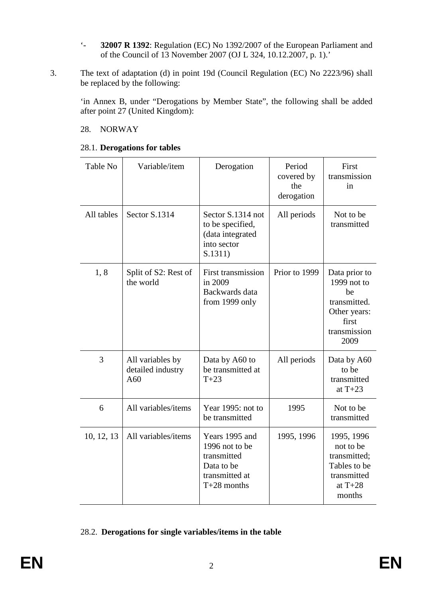- '- **32007 R 1392**: Regulation (EC) No 1392/2007 of the European Parliament and of the Council of 13 November 2007 (OJ L 324, 10.12.2007, p. 1).'
- 3. The text of adaptation (d) in point 19d (Council Regulation (EC) No 2223/96) shall be replaced by the following:

'in Annex B, under "Derogations by Member State", the following shall be added after point 27 (United Kingdom):

# 28. NORWAY

| Table No   | Variable/item                                | Derogation                                                                                       | Period<br>covered by<br>the<br>derogation | First<br>transmission<br>in                                                                         |
|------------|----------------------------------------------|--------------------------------------------------------------------------------------------------|-------------------------------------------|-----------------------------------------------------------------------------------------------------|
| All tables | Sector S.1314                                | Sector S.1314 not<br>to be specified,<br>(data integrated<br>into sector<br>S.1311)              | All periods                               | Not to be<br>transmitted                                                                            |
| 1,8        | Split of S2: Rest of<br>the world            | <b>First transmission</b><br>in 2009<br>Backwards data<br>from 1999 only                         | Prior to 1999                             | Data prior to<br>1999 not to<br>be<br>transmitted.<br>Other years:<br>first<br>transmission<br>2009 |
| 3          | All variables by<br>detailed industry<br>A60 | Data by A60 to<br>be transmitted at<br>$T+23$                                                    | All periods                               | Data by A60<br>to be<br>transmitted<br>at $T+23$                                                    |
| 6          | All variables/items                          | Year 1995: not to<br>be transmitted                                                              | 1995                                      | Not to be<br>transmitted                                                                            |
| 10, 12, 13 | All variables/items                          | Years 1995 and<br>1996 not to be<br>transmitted<br>Data to be<br>transmitted at<br>$T+28$ months | 1995, 1996                                | 1995, 1996<br>not to be<br>transmitted;<br>Tables to be<br>transmitted<br>at $T+28$<br>months       |

# 28.1. **Derogations for tables**

## 28.2. **Derogations for single variables/items in the table**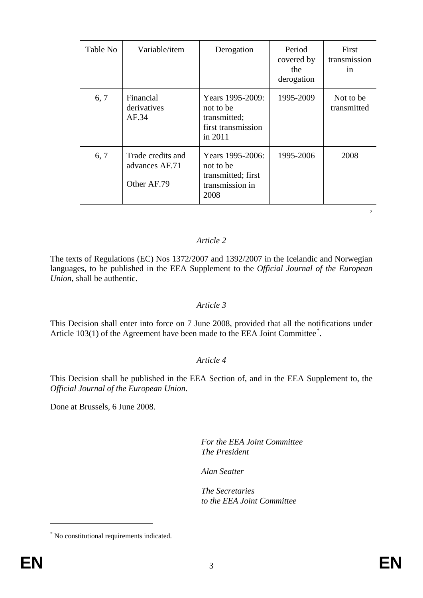| Table No | Variable/item                                      | Derogation                                                                     | Period<br>covered by<br>the<br>derogation | First<br>transmission<br>1n |
|----------|----------------------------------------------------|--------------------------------------------------------------------------------|-------------------------------------------|-----------------------------|
| 6, 7     | Financial<br>derivatives<br>AF.34                  | Years 1995-2009:<br>not to be<br>transmitted;<br>first transmission<br>in 2011 | 1995-2009                                 | Not to be<br>transmitted    |
| 6, 7     | Trade credits and<br>advances AF.71<br>Other AF.79 | Years 1995-2006:<br>not to be<br>transmitted; first<br>transmission in<br>2008 | 1995-2006                                 | 2008                        |

# *Article 2*

The texts of Regulations (EC) Nos 1372/2007 and 1392/2007 in the Icelandic and Norwegian languages, to be published in the EEA Supplement to the *Official Journal of the European Union*, shall be authentic.

## *Article 3*

This Decision shall enter into force on 7 June 2008, provided that all the notifications under Article 103(1) of the Agreement have been made to the EEA Joint Committee<sup>[\\*](#page-1-1)</sup>.

## *Article 4*

This Decision shall be published in the EEA Section of, and in the EEA Supplement to, the *Official Journal of the European Union*.

Done at Brussels, 6 June 2008.

*For the EEA Joint Committee The President*

*Alan Seatter*

*The Secretaries to the EEA Joint Committee*

 $\overline{a}$ 

'

<sup>\*</sup> No constitutional requirements indicated.